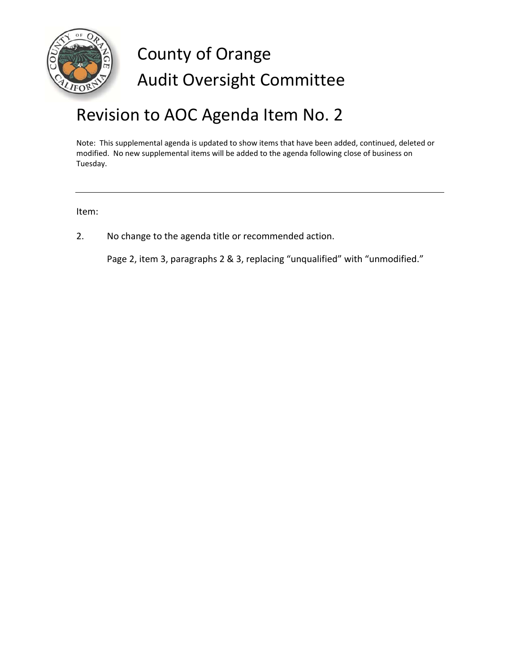

# County of Orange Audit Oversight Committee

## Revision to AOC Agenda Item No. 2

Note: This supplemental agenda is updated to show items that have been added, continued, deleted or modified. No new supplemental items will be added to the agenda following close of business on Tuesday.

Item:

2. No change to the agenda title or recommended action.

Page 2, item 3, paragraphs 2 & 3, replacing "unqualified" with "unmodified."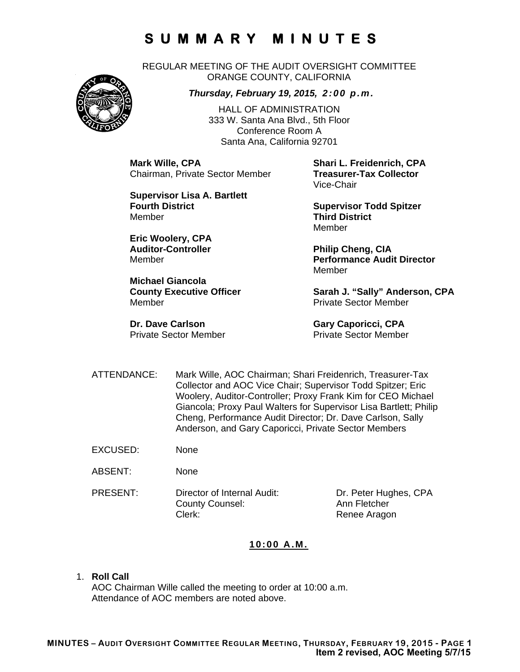REGULAR MEETING OF THE AUDIT OVERSIGHT COMMITTEE ORANGE COUNTY, CALIFORNIA

#### *Thursday, February 19, 2015, 2:00 p.m.*

HALL OF ADMINISTRATION 333 W. Santa Ana Blvd., 5th Floor Conference Room A Santa Ana, California 92701

**Mark Wille, CPA Shari L. Freidenrich, CPA Chairman, Private Sector Member** 

**Supervisor Lisa A. Bartlett Fourth District Community Community Supervisor Todd Spitzer** Member **Third District** 

**Eric Woolery, CPA**  Auditor-Controller **Philip Cheng, CIA** 

**Michael Giancola**  Member Private Sector Member

**Dr. Dave Carlson Gary Caporicci, CPA** Private Sector Member Private Sector Member

Vice-Chair

Member

Member **Performance Audit Director**  Member

County Executive Officer **Sarah J. "Sally" Anderson, CPA** 

- ATTENDANCE: Mark Wille, AOC Chairman; Shari Freidenrich, Treasurer-Tax Collector and AOC Vice Chair; Supervisor Todd Spitzer; Eric Woolery, Auditor-Controller; Proxy Frank Kim for CEO Michael Giancola; Proxy Paul Walters for Supervisor Lisa Bartlett; Philip Cheng, Performance Audit Director; Dr. Dave Carlson, Sally Anderson, and Gary Caporicci, Private Sector Members
- EXCUSED: None
- ABSENT: None
- PRESENT: Director of Internal Audit: Dr. Peter Hughes, CPA County Counsel: Ann Fletcher Clerk: Clerk: Renee Aragon

#### **10:00 A.M.**

1. **Roll Call**

AOC Chairman Wille called the meeting to order at 10:00 a.m. Attendance of AOC members are noted above.

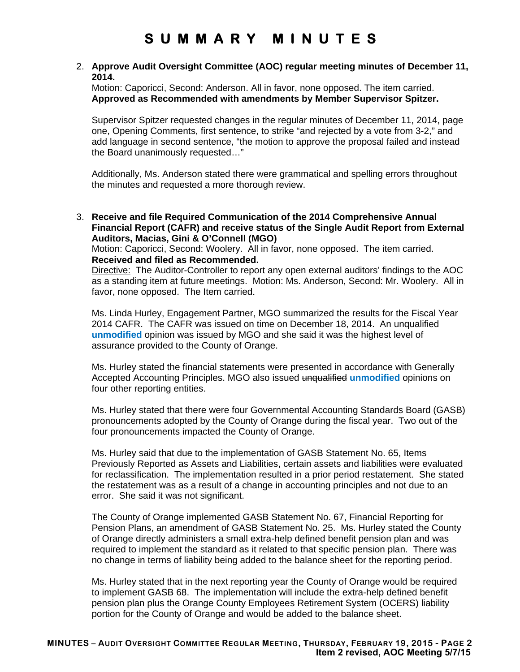#### 2. **Approve Audit Oversight Committee (AOC) regular meeting minutes of December 11, 2014.**

Motion: Caporicci, Second: Anderson. All in favor, none opposed. The item carried. **Approved as Recommended with amendments by Member Supervisor Spitzer.** 

Supervisor Spitzer requested changes in the regular minutes of December 11, 2014, page one, Opening Comments, first sentence, to strike "and rejected by a vote from 3-2," and add language in second sentence, "the motion to approve the proposal failed and instead the Board unanimously requested…"

Additionally, Ms. Anderson stated there were grammatical and spelling errors throughout the minutes and requested a more thorough review.

3. **Receive and file Required Communication of the 2014 Comprehensive Annual Financial Report (CAFR) and receive status of the Single Audit Report from External Auditors, Macias, Gini & O'Connell (MGO)**

Motion: Caporicci, Second: Woolery. All in favor, none opposed. The item carried. **Received and filed as Recommended.** 

Directive: The Auditor-Controller to report any open external auditors' findings to the AOC as a standing item at future meetings. Motion: Ms. Anderson, Second: Mr. Woolery. All in favor, none opposed. The Item carried.

Ms. Linda Hurley, Engagement Partner, MGO summarized the results for the Fiscal Year 2014 CAFR. The CAFR was issued on time on December 18, 2014. An unqualified **unmodified** opinion was issued by MGO and she said it was the highest level of assurance provided to the County of Orange.

Ms. Hurley stated the financial statements were presented in accordance with Generally Accepted Accounting Principles. MGO also issued unqualified **unmodified** opinions on four other reporting entities.

Ms. Hurley stated that there were four Governmental Accounting Standards Board (GASB) pronouncements adopted by the County of Orange during the fiscal year. Two out of the four pronouncements impacted the County of Orange.

Ms. Hurley said that due to the implementation of GASB Statement No. 65, Items Previously Reported as Assets and Liabilities, certain assets and liabilities were evaluated for reclassification. The implementation resulted in a prior period restatement. She stated the restatement was as a result of a change in accounting principles and not due to an error. She said it was not significant.

The County of Orange implemented GASB Statement No. 67, Financial Reporting for Pension Plans, an amendment of GASB Statement No. 25. Ms. Hurley stated the County of Orange directly administers a small extra-help defined benefit pension plan and was required to implement the standard as it related to that specific pension plan. There was no change in terms of liability being added to the balance sheet for the reporting period.

Ms. Hurley stated that in the next reporting year the County of Orange would be required to implement GASB 68. The implementation will include the extra-help defined benefit pension plan plus the Orange County Employees Retirement System (OCERS) liability portion for the County of Orange and would be added to the balance sheet.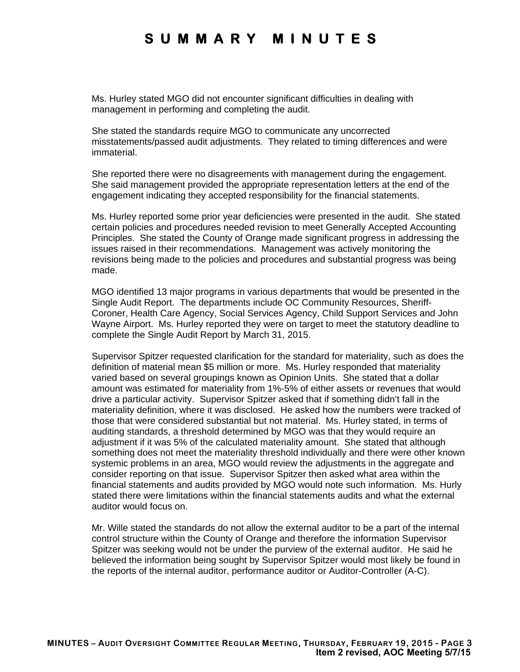Ms. Hurley stated MGO did not encounter significant difficulties in dealing with management in performing and completing the audit.

She stated the standards require MGO to communicate any uncorrected misstatements/passed audit adjustments. They related to timing differences and were immaterial.

She reported there were no disagreements with management during the engagement. She said management provided the appropriate representation letters at the end of the engagement indicating they accepted responsibility for the financial statements.

Ms. Hurley reported some prior year deficiencies were presented in the audit. She stated certain policies and procedures needed revision to meet Generally Accepted Accounting Principles. She stated the County of Orange made significant progress in addressing the issues raised in their recommendations. Management was actively monitoring the revisions being made to the policies and procedures and substantial progress was being made.

MGO identified 13 major programs in various departments that would be presented in the Single Audit Report. The departments include OC Community Resources, Sheriff-Coroner, Health Care Agency, Social Services Agency, Child Support Services and John Wayne Airport. Ms. Hurley reported they were on target to meet the statutory deadline to complete the Single Audit Report by March 31, 2015.

Supervisor Spitzer requested clarification for the standard for materiality, such as does the definition of material mean \$5 million or more. Ms. Hurley responded that materiality varied based on several groupings known as Opinion Units. She stated that a dollar amount was estimated for materiality from 1%-5% of either assets or revenues that would drive a particular activity. Supervisor Spitzer asked that if something didn't fall in the materiality definition, where it was disclosed. He asked how the numbers were tracked of those that were considered substantial but not material. Ms. Hurley stated, in terms of auditing standards, a threshold determined by MGO was that they would require an adjustment if it was 5% of the calculated materiality amount. She stated that although something does not meet the materiality threshold individually and there were other known systemic problems in an area, MGO would review the adjustments in the aggregate and consider reporting on that issue. Supervisor Spitzer then asked what area within the financial statements and audits provided by MGO would note such information. Ms. Hurly stated there were limitations within the financial statements audits and what the external auditor would focus on.

Mr. Wille stated the standards do not allow the external auditor to be a part of the internal control structure within the County of Orange and therefore the information Supervisor Spitzer was seeking would not be under the purview of the external auditor. He said he believed the information being sought by Supervisor Spitzer would most likely be found in the reports of the internal auditor, performance auditor or Auditor-Controller (A-C).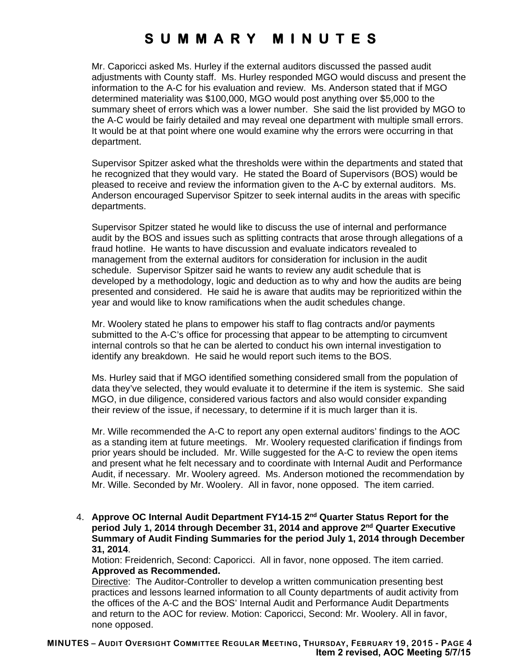Mr. Caporicci asked Ms. Hurley if the external auditors discussed the passed audit adjustments with County staff. Ms. Hurley responded MGO would discuss and present the information to the A-C for his evaluation and review. Ms. Anderson stated that if MGO determined materiality was \$100,000, MGO would post anything over \$5,000 to the summary sheet of errors which was a lower number. She said the list provided by MGO to the A-C would be fairly detailed and may reveal one department with multiple small errors. It would be at that point where one would examine why the errors were occurring in that department.

Supervisor Spitzer asked what the thresholds were within the departments and stated that he recognized that they would vary. He stated the Board of Supervisors (BOS) would be pleased to receive and review the information given to the A-C by external auditors. Ms. Anderson encouraged Supervisor Spitzer to seek internal audits in the areas with specific departments.

Supervisor Spitzer stated he would like to discuss the use of internal and performance audit by the BOS and issues such as splitting contracts that arose through allegations of a fraud hotline. He wants to have discussion and evaluate indicators revealed to management from the external auditors for consideration for inclusion in the audit schedule. Supervisor Spitzer said he wants to review any audit schedule that is developed by a methodology, logic and deduction as to why and how the audits are being presented and considered. He said he is aware that audits may be reprioritized within the year and would like to know ramifications when the audit schedules change.

Mr. Woolery stated he plans to empower his staff to flag contracts and/or payments submitted to the A-C's office for processing that appear to be attempting to circumvent internal controls so that he can be alerted to conduct his own internal investigation to identify any breakdown. He said he would report such items to the BOS.

Ms. Hurley said that if MGO identified something considered small from the population of data they've selected, they would evaluate it to determine if the item is systemic. She said MGO, in due diligence, considered various factors and also would consider expanding their review of the issue, if necessary, to determine if it is much larger than it is.

Mr. Wille recommended the A-C to report any open external auditors' findings to the AOC as a standing item at future meetings. Mr. Woolery requested clarification if findings from prior years should be included. Mr. Wille suggested for the A-C to review the open items and present what he felt necessary and to coordinate with Internal Audit and Performance Audit, if necessary. Mr. Woolery agreed. Ms. Anderson motioned the recommendation by Mr. Wille. Seconded by Mr. Woolery. All in favor, none opposed. The item carried.

4. **Approve OC Internal Audit Department FY14-15 2nd Quarter Status Report for the period July 1, 2014 through December 31, 2014 and approve 2nd Quarter Executive Summary of Audit Finding Summaries for the period July 1, 2014 through December 31, 2014**.

Motion: Freidenrich, Second: Caporicci. All in favor, none opposed. The item carried. **Approved as Recommended.** 

Directive: The Auditor-Controller to develop a written communication presenting best practices and lessons learned information to all County departments of audit activity from the offices of the A-C and the BOS' Internal Audit and Performance Audit Departments and return to the AOC for review. Motion: Caporicci, Second: Mr. Woolery. All in favor, none opposed.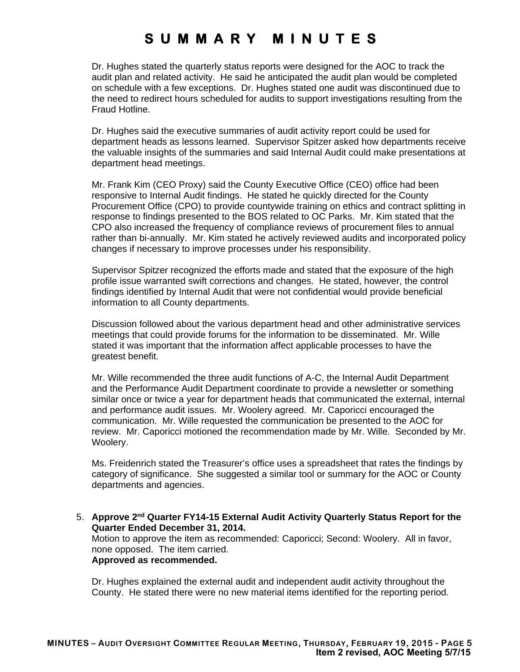Dr. Hughes stated the quarterly status reports were designed for the AOC to track the audit plan and related activity. He said he anticipated the audit plan would be completed on schedule with a few exceptions. Dr. Hughes stated one audit was discontinued due to the need to redirect hours scheduled for audits to support investigations resulting from the Fraud Hotline.

Dr. Hughes said the executive summaries of audit activity report could be used for department heads as lessons learned. Supervisor Spitzer asked how departments receive the valuable insights of the summaries and said Internal Audit could make presentations at department head meetings.

Mr. Frank Kim (CEO Proxy) said the County Executive Office (CEO) office had been responsive to Internal Audit findings. He stated he quickly directed for the County Procurement Office (CPO) to provide countywide training on ethics and contract splitting in response to findings presented to the BOS related to OC Parks. Mr. Kim stated that the CPO also increased the frequency of compliance reviews of procurement files to annual rather than bi-annually. Mr. Kim stated he actively reviewed audits and incorporated policy changes if necessary to improve processes under his responsibility.

Supervisor Spitzer recognized the efforts made and stated that the exposure of the high profile issue warranted swift corrections and changes. He stated, however, the control findings identified by Internal Audit that were not confidential would provide beneficial information to all County departments.

Discussion followed about the various department head and other administrative services meetings that could provide forums for the information to be disseminated. Mr. Wille stated it was important that the information affect applicable processes to have the greatest benefit.

Mr. Wille recommended the three audit functions of A-C, the Internal Audit Department and the Performance Audit Department coordinate to provide a newsletter or something similar once or twice a year for department heads that communicated the external, internal and performance audit issues. Mr. Woolery agreed. Mr. Caporicci encouraged the communication. Mr. Wille requested the communication be presented to the AOC for review. Mr. Caporicci motioned the recommendation made by Mr. Wille. Seconded by Mr. Woolery.

Ms. Freidenrich stated the Treasurer's office uses a spreadsheet that rates the findings by category of significance. She suggested a similar tool or summary for the AOC or County departments and agencies.

5. **Approve 2nd Quarter FY14-15 External Audit Activity Quarterly Status Report for the Quarter Ended December 31, 2014.**

Motion to approve the item as recommended: Caporicci; Second: Woolery. All in favor, none opposed. The item carried. **Approved as recommended.** 

Dr. Hughes explained the external audit and independent audit activity throughout the County. He stated there were no new material items identified for the reporting period.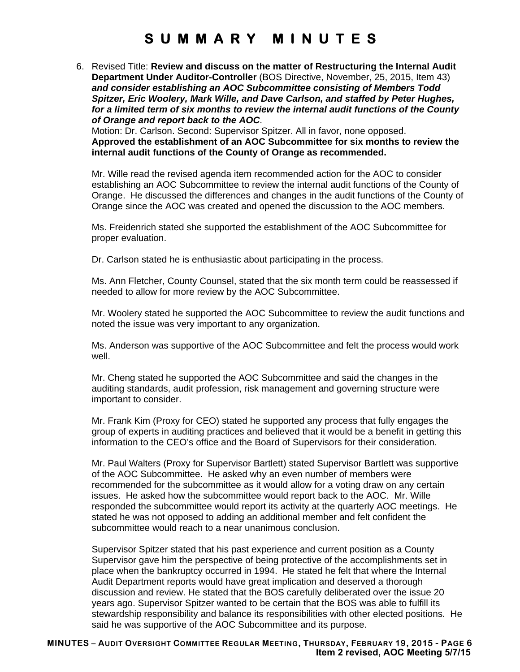6. Revised Title: **Review and discuss on the matter of Restructuring the Internal Audit Department Under Auditor-Controller** (BOS Directive, November, 25, 2015, Item 43) *and consider establishing an AOC Subcommittee consisting of Members Todd Spitzer, Eric Woolery, Mark Wille, and Dave Carlson, and staffed by Peter Hughes, for a limited term of six months to review the internal audit functions of the County of Orange and report back to the AOC*.

Motion: Dr. Carlson. Second: Supervisor Spitzer. All in favor, none opposed. **Approved the establishment of an AOC Subcommittee for six months to review the internal audit functions of the County of Orange as recommended.** 

Mr. Wille read the revised agenda item recommended action for the AOC to consider establishing an AOC Subcommittee to review the internal audit functions of the County of Orange. He discussed the differences and changes in the audit functions of the County of Orange since the AOC was created and opened the discussion to the AOC members.

Ms. Freidenrich stated she supported the establishment of the AOC Subcommittee for proper evaluation.

Dr. Carlson stated he is enthusiastic about participating in the process.

Ms. Ann Fletcher, County Counsel, stated that the six month term could be reassessed if needed to allow for more review by the AOC Subcommittee.

Mr. Woolery stated he supported the AOC Subcommittee to review the audit functions and noted the issue was very important to any organization.

Ms. Anderson was supportive of the AOC Subcommittee and felt the process would work well.

Mr. Cheng stated he supported the AOC Subcommittee and said the changes in the auditing standards, audit profession, risk management and governing structure were important to consider.

Mr. Frank Kim (Proxy for CEO) stated he supported any process that fully engages the group of experts in auditing practices and believed that it would be a benefit in getting this information to the CEO's office and the Board of Supervisors for their consideration.

Mr. Paul Walters (Proxy for Supervisor Bartlett) stated Supervisor Bartlett was supportive of the AOC Subcommittee. He asked why an even number of members were recommended for the subcommittee as it would allow for a voting draw on any certain issues. He asked how the subcommittee would report back to the AOC. Mr. Wille responded the subcommittee would report its activity at the quarterly AOC meetings. He stated he was not opposed to adding an additional member and felt confident the subcommittee would reach to a near unanimous conclusion.

Supervisor Spitzer stated that his past experience and current position as a County Supervisor gave him the perspective of being protective of the accomplishments set in place when the bankruptcy occurred in 1994. He stated he felt that where the Internal Audit Department reports would have great implication and deserved a thorough discussion and review. He stated that the BOS carefully deliberated over the issue 20 years ago. Supervisor Spitzer wanted to be certain that the BOS was able to fulfill its stewardship responsibility and balance its responsibilities with other elected positions. He said he was supportive of the AOC Subcommittee and its purpose.

**MINUTES – AUDIT OVERSIGHT COMMITTEE REGULAR MEETING, THURSDAY, FEBRUARY 19, 2015 - PAGE 6 Item 2 revised, AOC Meeting 5/7/15**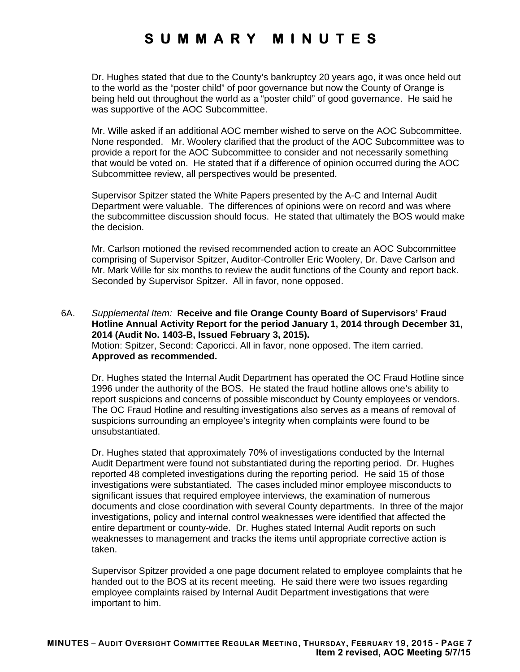Dr. Hughes stated that due to the County's bankruptcy 20 years ago, it was once held out to the world as the "poster child" of poor governance but now the County of Orange is being held out throughout the world as a "poster child" of good governance. He said he was supportive of the AOC Subcommittee.

Mr. Wille asked if an additional AOC member wished to serve on the AOC Subcommittee. None responded. Mr. Woolery clarified that the product of the AOC Subcommittee was to provide a report for the AOC Subcommittee to consider and not necessarily something that would be voted on. He stated that if a difference of opinion occurred during the AOC Subcommittee review, all perspectives would be presented.

Supervisor Spitzer stated the White Papers presented by the A-C and Internal Audit Department were valuable. The differences of opinions were on record and was where the subcommittee discussion should focus. He stated that ultimately the BOS would make the decision.

Mr. Carlson motioned the revised recommended action to create an AOC Subcommittee comprising of Supervisor Spitzer, Auditor-Controller Eric Woolery, Dr. Dave Carlson and Mr. Mark Wille for six months to review the audit functions of the County and report back. Seconded by Supervisor Spitzer. All in favor, none opposed.

6A. *Supplemental Item:* **Receive and file Orange County Board of Supervisors' Fraud Hotline Annual Activity Report for the period January 1, 2014 through December 31, 2014 (Audit No. 1403-B, Issued February 3, 2015).** Motion: Spitzer, Second: Caporicci. All in favor, none opposed. The item carried. **Approved as recommended.** 

Dr. Hughes stated the Internal Audit Department has operated the OC Fraud Hotline since 1996 under the authority of the BOS. He stated the fraud hotline allows one's ability to report suspicions and concerns of possible misconduct by County employees or vendors. The OC Fraud Hotline and resulting investigations also serves as a means of removal of suspicions surrounding an employee's integrity when complaints were found to be unsubstantiated.

Dr. Hughes stated that approximately 70% of investigations conducted by the Internal Audit Department were found not substantiated during the reporting period. Dr. Hughes reported 48 completed investigations during the reporting period. He said 15 of those investigations were substantiated. The cases included minor employee misconducts to significant issues that required employee interviews, the examination of numerous documents and close coordination with several County departments. In three of the major investigations, policy and internal control weaknesses were identified that affected the entire department or county-wide. Dr. Hughes stated Internal Audit reports on such weaknesses to management and tracks the items until appropriate corrective action is taken.

Supervisor Spitzer provided a one page document related to employee complaints that he handed out to the BOS at its recent meeting. He said there were two issues regarding employee complaints raised by Internal Audit Department investigations that were important to him.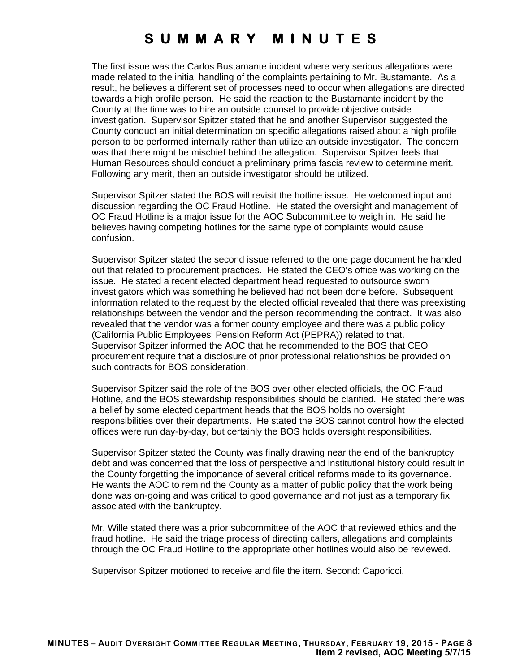The first issue was the Carlos Bustamante incident where very serious allegations were made related to the initial handling of the complaints pertaining to Mr. Bustamante. As a result, he believes a different set of processes need to occur when allegations are directed towards a high profile person. He said the reaction to the Bustamante incident by the County at the time was to hire an outside counsel to provide objective outside investigation. Supervisor Spitzer stated that he and another Supervisor suggested the County conduct an initial determination on specific allegations raised about a high profile person to be performed internally rather than utilize an outside investigator. The concern was that there might be mischief behind the allegation. Supervisor Spitzer feels that Human Resources should conduct a preliminary prima fascia review to determine merit. Following any merit, then an outside investigator should be utilized.

Supervisor Spitzer stated the BOS will revisit the hotline issue. He welcomed input and discussion regarding the OC Fraud Hotline. He stated the oversight and management of OC Fraud Hotline is a major issue for the AOC Subcommittee to weigh in. He said he believes having competing hotlines for the same type of complaints would cause confusion.

Supervisor Spitzer stated the second issue referred to the one page document he handed out that related to procurement practices. He stated the CEO's office was working on the issue. He stated a recent elected department head requested to outsource sworn investigators which was something he believed had not been done before. Subsequent information related to the request by the elected official revealed that there was preexisting relationships between the vendor and the person recommending the contract. It was also revealed that the vendor was a former county employee and there was a public policy (California Public Employees' Pension Reform Act (PEPRA)) related to that. Supervisor Spitzer informed the AOC that he recommended to the BOS that CEO procurement require that a disclosure of prior professional relationships be provided on such contracts for BOS consideration.

Supervisor Spitzer said the role of the BOS over other elected officials, the OC Fraud Hotline, and the BOS stewardship responsibilities should be clarified. He stated there was a belief by some elected department heads that the BOS holds no oversight responsibilities over their departments. He stated the BOS cannot control how the elected offices were run day-by-day, but certainly the BOS holds oversight responsibilities.

Supervisor Spitzer stated the County was finally drawing near the end of the bankruptcy debt and was concerned that the loss of perspective and institutional history could result in the County forgetting the importance of several critical reforms made to its governance. He wants the AOC to remind the County as a matter of public policy that the work being done was on-going and was critical to good governance and not just as a temporary fix associated with the bankruptcy.

Mr. Wille stated there was a prior subcommittee of the AOC that reviewed ethics and the fraud hotline. He said the triage process of directing callers, allegations and complaints through the OC Fraud Hotline to the appropriate other hotlines would also be reviewed.

Supervisor Spitzer motioned to receive and file the item. Second: Caporicci.